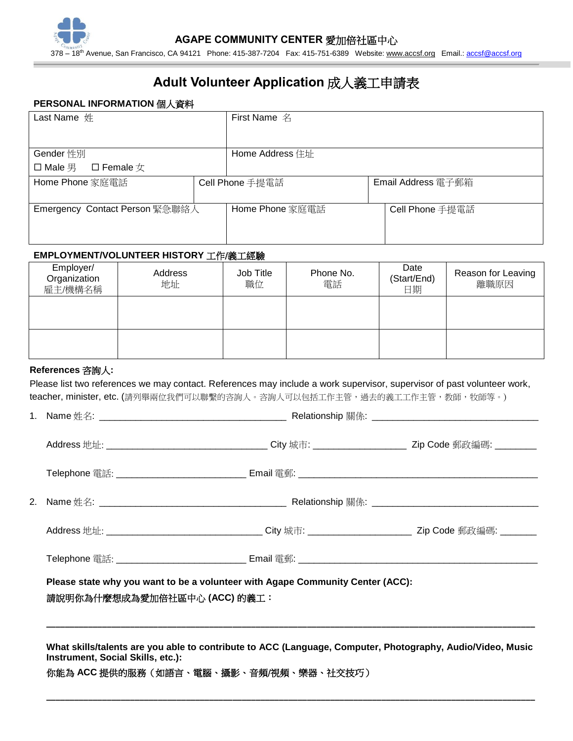# **Adult Volunteer Application** 成人義工申請表

### **PERSONAL INFORMATION** 個人資料

| Last Name 姓                    |  | <b>First Name</b> 名 |  |                    |  |
|--------------------------------|--|---------------------|--|--------------------|--|
|                                |  |                     |  |                    |  |
| Gender 性別                      |  | Home Address 住址     |  |                    |  |
| □ Male 男 □ Female $\chi$       |  |                     |  |                    |  |
| Home Phone 家庭電話                |  | Cell Phone 手提電話     |  | Email Address 電子郵箱 |  |
|                                |  |                     |  |                    |  |
| Emergency Contact Person 緊急聯絡人 |  | Home Phone 家庭電話     |  | Cell Phone 手提電話    |  |
|                                |  |                     |  |                    |  |
|                                |  |                     |  |                    |  |

#### **EMPLOYMENT/VOLUNTEER HISTORY** 工作/義工經驗

| Employer/<br>Organization<br>雇主/機構名稱 | Address<br>地址 | Job Title<br>職位 | Phone No.<br>電話 | Date<br>(Start/End)<br>日期 | Reason for Leaving<br>離職原因 |
|--------------------------------------|---------------|-----------------|-----------------|---------------------------|----------------------------|
|                                      |               |                 |                 |                           |                            |
|                                      |               |                 |                 |                           |                            |

## **References** 咨詢人**:**

Please list two references we may contact. References may include a work supervisor, supervisor of past volunteer work, teacher, minister, etc. (請列舉兩位我們可以聯繫的咨詢人。咨詢人可以包括工作主管,過去的義工工作主管,教師,牧師等。)

| Telephone 電話: ____________________________ Email 電郵: ____________________________                              |  |  |  |
|----------------------------------------------------------------------------------------------------------------|--|--|--|
| Please state why you want to be a volunteer with Agape Community Center (ACC):<br>請說明你為什麼想成為愛加倍社區中心 (ACC) 的義工: |  |  |  |
|                                                                                                                |  |  |  |

**What skills/talents are you able to contribute to ACC (Language, Computer, Photography, Audio/Video, Music Instrument, Social Skills, etc.):**

**\_\_\_\_\_\_\_\_\_\_\_\_\_\_\_\_\_\_\_\_\_\_\_\_\_\_\_\_\_\_\_\_\_\_\_\_\_\_\_\_\_\_\_\_\_\_\_\_\_\_\_\_\_\_\_\_\_\_\_\_\_\_\_\_\_\_\_\_\_\_\_\_\_\_\_\_\_\_\_\_\_\_\_\_\_\_\_\_\_\_\_\_\_\_\_\_\_\_\_\_\_\_\_\_\_**

你能為 **ACC** 提供的服務(如語言、電腦、攝影、音頻/視頻、樂器、社交技巧)